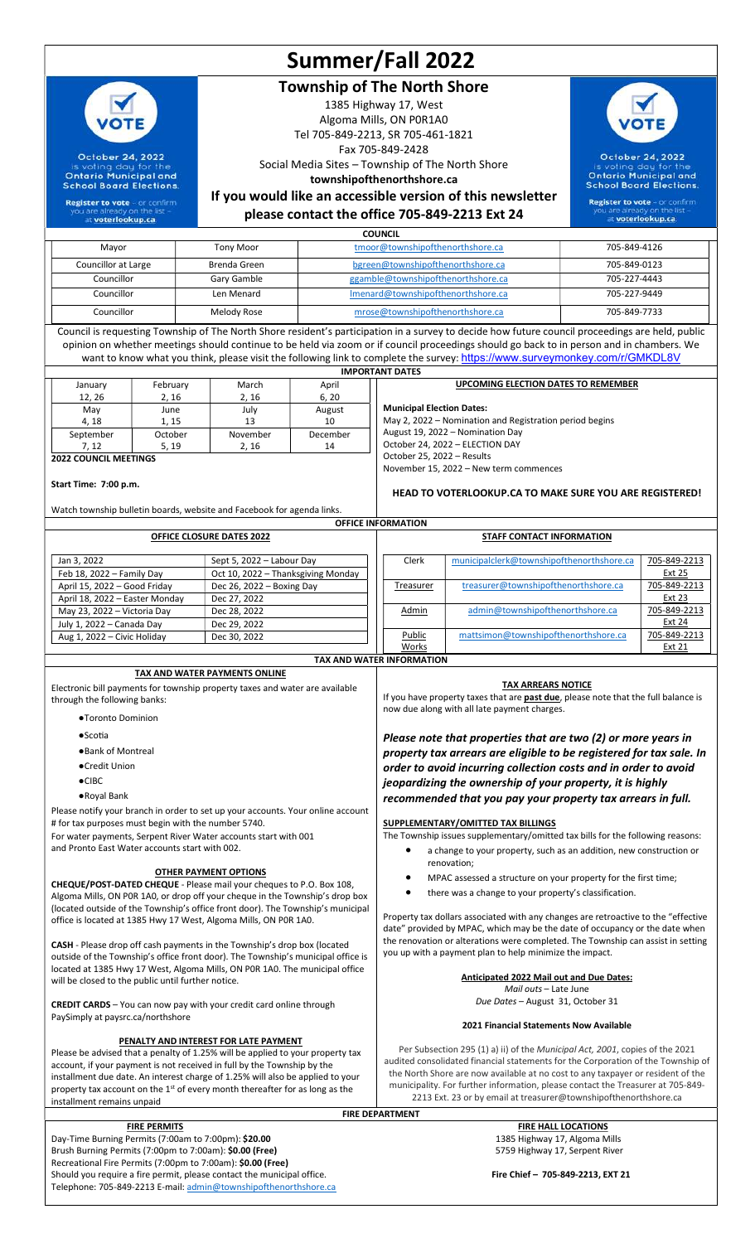# Summer/Fall 2022

## Township of The North Shore

1385 Highway 17, West Algoma Mills, ON P0R1A0 Tel 705-849-2213, SR 705-461-1821 Fax 705-849-2428 Social Media Sites – Township of The North Shore townshipofthenorthshore.ca

October 24, 2022 **Sound day for the Ontario Municipal and School Board Elections** 

If you would like an accessible version of this newsletter

**Register to vote** - or confirm<br>vou are already on the list voterlookup.ca

please contact the office 705-849-2213 Ext 24 **COUNCIL** 

| Mayor               | <b>Tony Moor</b> | tmoor@townshipofthenorthshore.ca   | 705-849-4126 |
|---------------------|------------------|------------------------------------|--------------|
| Councillor at Large | Brenda Green     | bgreen@townshipofthenorthshore.ca  | 705-849-0123 |
| Councillor          | Gary Gamble      | ggamble@townshipofthenorthshore.ca | 705-227-4443 |
| Councillor          | Len Menard       | Imenard@townshipofthenorthshore.ca | 705-227-9449 |
| Councillor          | Melody Rose      | mrose@townshipofthenorthshore.ca   | 705-849-7733 |

Council is requesting Township of The North Shore resident's participation in a survey to decide how future council proceedings are held, public opinion on whether meetings should continue to be held via zoom or if council proceedings should go back to in person and in chambers. We want to know what you think, please visit the following link to complete the survey: https://www.surveymonkey.com/r/GMKDL8V IMPORTANT DATES

| January                      | February | March                      | April    | <b>UPCOMING ELECTION DATES TO REMEMBER</b>              |
|------------------------------|----------|----------------------------|----------|---------------------------------------------------------|
| 12, 26                       | 2, 16    | 2, 16                      | 6, 20    |                                                         |
| May                          | June     | July                       | August   | <b>Municipal Election Dates:</b>                        |
| 4, 18                        | 1.15     | 13                         | 10       | May 2, 2022 – Nomination and Registration period begins |
| September                    | October  | November                   | December | August 19, 2022 - Nomination Day                        |
| 7.12                         | 5.19     | 2.16                       | 14       | October 24, 2022 - ELECTION DAY                         |
| <b>2022 COUNCIL MEETINGS</b> |          | October 25, 2022 - Results |          |                                                         |
|                              |          |                            |          | November 15, 2022 - New term commences                  |

#### Start Time: 7:00 p.m.

October 24, 2022

is voting day for the<br>Ontario Municipal and<br>School Board Elections

**Register to vote** - or confirm

voterlookup.ca

Watch township bulletin boards, website and Facebook for agenda links. OFFICE INFORMATION

HEAD TO VOTERLOOKUP.CA TO MAKE SURE YOU ARE REGISTERED!

| <b>OFFICE CLOSURE DATES 2022</b> |                                    | <b>STAFF CONTACT INFORMATION</b> |                                           |               |  |  |
|----------------------------------|------------------------------------|----------------------------------|-------------------------------------------|---------------|--|--|
| Jan 3, 2022                      | Sept 5, 2022 - Labour Day          | Clerk                            | municipalclerk@townshipofthenorthshore.ca | 705-849-2213  |  |  |
| Feb 18, 2022 - Family Day        | Oct 10, 2022 - Thanksgiving Monday |                                  |                                           | <b>Ext 25</b> |  |  |
| April 15, 2022 - Good Friday     | Dec 26, 2022 $-$ Boxing Day        | Treasurer                        | treasurer@townshipofthenorthshore.ca      | 705-849-2213  |  |  |
| April 18, 2022 - Easter Monday   | Dec 27, 2022                       |                                  |                                           | <b>Ext 23</b> |  |  |
| May 23, 2022 - Victoria Day      | Dec 28, 2022                       | Admin                            | admin@townshipofthenorthshore.ca          | 705-849-2213  |  |  |
| July 1, 2022 - Canada Day        | Dec 29, 2022                       |                                  |                                           | Ext 24        |  |  |
| Aug 1, 2022 - Civic Holiday      | Dec 30, 2022                       | Public                           | mattsimon@townshipofthenorthshore.ca      | 705-849-2213  |  |  |
|                                  |                                    | Works                            |                                           | Ext 21        |  |  |
| <b>TAX AND WATER INFORMATION</b> |                                    |                                  |                                           |               |  |  |

FIRE DEPARTMENT

#### TAX AND WATER PAYMENTS ONLINE

Electronic bill payments for township property taxes and water are available through the following banks:

- ●Toronto Dominion
- ●Scotia
- ●Bank of Montreal
- ●Credit Union
- ●CIBC
- ●Royal Bank

Please notify your branch in order to set up your accounts. Your online account # for tax purposes must begin with the number 5740. For water payments, Serpent River Water accounts start with 001

and Pronto East Water accounts start with 002.

#### OTHER PAYMENT OPTIONS

CHEQUE/POST-DATED CHEQUE - Please mail your cheques to P.O. Box 108, Algoma Mills, ON P0R 1A0, or drop off your cheque in the Township's drop box (located outside of the Township's office front door). The Township's municipal office is located at 1385 Hwy 17 West, Algoma Mills, ON P0R 1A0.

CASH - Please drop off cash payments in the Township's drop box (located outside of the Township's office front door). The Township's municipal office is located at 1385 Hwy 17 West, Algoma Mills, ON P0R 1A0. The municipal office will be closed to the public until further notice.

CREDIT CARDS – You can now pay with your credit card online through PaySimply at paysrc.ca/northshore

#### PENALTY AND INTEREST FOR LATE PAYMENT

Please be advised that a penalty of 1.25% will be applied to your property tax account, if your payment is not received in full by the Township by the installment due date. An interest charge of 1.25% will also be applied to your property tax account on the 1<sup>st</sup> of every month thereafter for as long as the installment remains unpaid

Day-Time Burning Permits (7:00am to 7:00pm): \$20.00 1385 Highway 17, Algoma Mills<br>Brush Burning Permits (7:00pm to 7:00am): \$0.00 (Free) 1385 Highway 17, Serpent River Brush Burning Permits (7:00pm to 7:00am): \$0.00 (Free) Recreational Fire Permits (7:00pm to 7:00am): \$0.00 (Free) Should you require a fire permit, please contact the municipal office. Fire Chief – 705-849-2213, EXT 21 Telephone: 705-849-2213 E-mail: admin@townshipofthenorthshore.ca

TAX ARREARS NOTICE

If you have property taxes that are **past due**, please note that the full balance is now due along with all late payment charges.

Please note that properties that are two (2) or more years in property tax arrears are eligible to be registered for tax sale. In order to avoid incurring collection costs and in order to avoid jeopardizing the ownership of your property, it is highly recommended that you pay your property tax arrears in full.

#### SUPPLEMENTARY/OMITTED TAX BILLINGS

The Township issues supplementary/omitted tax bills for the following reasons:

- a change to your property, such as an addition, new construction or renovation;
- MPAC assessed a structure on your property for the first time;
- there was a change to your property's classification.

Property tax dollars associated with any changes are retroactive to the "effective date" provided by MPAC, which may be the date of occupancy or the date when the renovation or alterations were completed. The Township can assist in setting you up with a payment plan to help minimize the impact.

### Anticipated 2022 Mail out and Due Dates:

Mail outs – Late June Due Dates – August 31, October 31

#### 2021 Financial Statements Now Available

Per Subsection 295 (1) a) ii) of the Municipal Act, 2001, copies of the 2021 audited consolidated financial statements for the Corporation of the Township of the North Shore are now available at no cost to any taxpayer or resident of the municipality. For further information, please contact the Treasurer at 705-849- 2213 Ext. 23 or by email at treasurer@townshipofthenorthshore.ca

EIRE PERMITS<br>Permits (7:00am to 7:00pm): \$20.00 <br>Permits (7:00am to 7:00pm): \$20.00 <br>All the state of the state of the state of the state of the state of the state of the state of the state of the state of the state of the